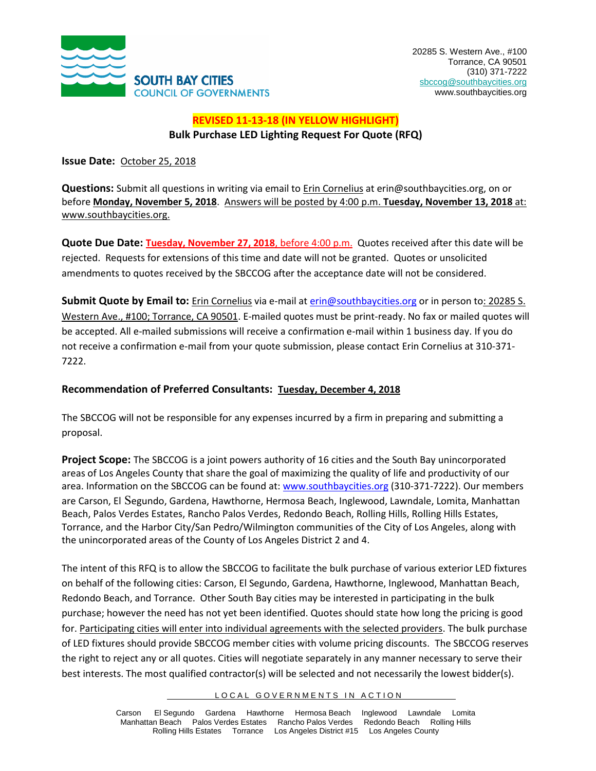

#### **REVISED 11-13-18 (IN YELLOW HIGHLIGHT) Bulk Purchase LED Lighting Request For Quote (RFQ)**

**Issue Date:** October 25, 2018

**Questions:** Submit all questions in writing via email to Erin Cornelius at erin@southbaycities.org, on or before **Monday, November 5, 2018**. Answers will be posted by 4:00 p.m. **Tuesday, November 13, 2018** at: www.southbaycities.org.

**Quote Due Date: Tuesday, November 27, 2018**, before 4:00 p.m. Quotes received after this date will be rejected. Requests for extensions of this time and date will not be granted. Quotes or unsolicited amendments to quotes received by the SBCCOG after the acceptance date will not be considered.

Submit Quote by Email to: Erin Cornelius via e-mail a[t erin@southbaycities.org](mailto:erin@southbaycities.org) or in person to: 20285 S. Western Ave., #100; Torrance, CA 90501. E-mailed quotes must be print-ready. No fax or mailed quotes will be accepted. All e-mailed submissions will receive a confirmation e-mail within 1 business day. If you do not receive a confirmation e-mail from your quote submission, please contact Erin Cornelius at 310-371- 7222.

#### **Recommendation of Preferred Consultants: Tuesday, December 4, 2018**

The SBCCOG will not be responsible for any expenses incurred by a firm in preparing and submitting a proposal.

**Project Scope:** The SBCCOG is a joint powers authority of 16 cities and the South Bay unincorporated areas of Los Angeles County that share the goal of maximizing the quality of life and productivity of our area. Information on the SBCCOG can be found at[: www.southbaycities.org](http://www.southbaycities.org/) (310-371-7222). Our members are Carson, El Segundo, Gardena, Hawthorne, Hermosa Beach, Inglewood, Lawndale, Lomita, Manhattan Beach, Palos Verdes Estates, Rancho Palos Verdes, Redondo Beach, Rolling Hills, Rolling Hills Estates, Torrance, and the Harbor City/San Pedro/Wilmington communities of the City of Los Angeles, along with the unincorporated areas of the County of Los Angeles District 2 and 4.

The intent of this RFQ is to allow the SBCCOG to facilitate the bulk purchase of various exterior LED fixtures on behalf of the following cities: Carson, El Segundo, Gardena, Hawthorne, Inglewood, Manhattan Beach, Redondo Beach, and Torrance. Other South Bay cities may be interested in participating in the bulk purchase; however the need has not yet been identified. Quotes should state how long the pricing is good for. Participating cities will enter into individual agreements with the selected providers. The bulk purchase of LED fixtures should provide SBCCOG member cities with volume pricing discounts. The SBCCOG reserves the right to reject any or all quotes. Cities will negotiate separately in any manner necessary to serve their best interests. The most qualified contractor(s) will be selected and not necessarily the lowest bidder(s).

LOCAL GOVERNMENTS IN ACTION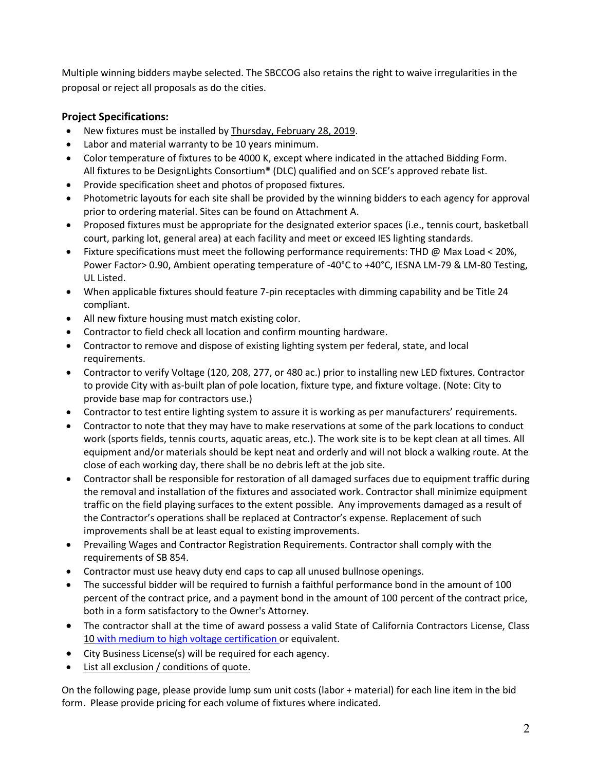Multiple winning bidders maybe selected. The SBCCOG also retains the right to waive irregularities in the proposal or reject all proposals as do the cities.

#### **Project Specifications:**

- New fixtures must be installed by Thursday, February 28, 2019.
- Labor and material warranty to be 10 years minimum.
- Color temperature of fixtures to be 4000 K, except where indicated in the attached Bidding Form. All fixtures to be DesignLights Consortium® (DLC) qualified and on SCE's approved rebate list.
- Provide specification sheet and photos of proposed fixtures.
- Photometric layouts for each site shall be provided by the winning bidders to each agency for approval prior to ordering material. Sites can be found on Attachment A.
- Proposed fixtures must be appropriate for the designated exterior spaces (i.e., tennis court, basketball court, parking lot, general area) at each facility and meet or exceed IES lighting standards.
- Fixture specifications must meet the following performance requirements: THD @ Max Load < 20%, Power Factor> 0.90, Ambient operating temperature of -40°C to +40°C, IESNA LM-79 & LM-80 Testing, UL Listed.
- When applicable fixtures should feature 7-pin receptacles with dimming capability and be Title 24 compliant.
- All new fixture housing must match existing color.
- Contractor to field check all location and confirm mounting hardware.
- Contractor to remove and dispose of existing lighting system per federal, state, and local requirements.
- Contractor to verify Voltage (120, 208, 277, or 480 ac.) prior to installing new LED fixtures. Contractor to provide City with as-built plan of pole location, fixture type, and fixture voltage. (Note: City to provide base map for contractors use.)
- Contractor to test entire lighting system to assure it is working as per manufacturers' requirements.
- Contractor to note that they may have to make reservations at some of the park locations to conduct work (sports fields, tennis courts, aquatic areas, etc.). The work site is to be kept clean at all times. All equipment and/or materials should be kept neat and orderly and will not block a walking route. At the close of each working day, there shall be no debris left at the job site.
- Contractor shall be responsible for restoration of all damaged surfaces due to equipment traffic during the removal and installation of the fixtures and associated work. Contractor shall minimize equipment traffic on the field playing surfaces to the extent possible. Any improvements damaged as a result of the Contractor's operations shall be replaced at Contractor's expense. Replacement of such improvements shall be at least equal to existing improvements.
- Prevailing Wages and Contractor Registration Requirements. Contractor shall comply with the requirements of SB 854.
- Contractor must use heavy duty end caps to cap all unused bullnose openings.
- The successful bidder will be required to furnish a faithful performance bond in the amount of 100 percent of the contract price, and a payment bond in the amount of 100 percent of the contract price, both in a form satisfactory to the Owner's Attorney.
- The contractor shall at the time of award possess a valid State of California Contractors License, Class 10 with medium to high voltage certification or equivalent.
- City Business License(s) will be required for each agency.
- List all exclusion / conditions of quote.

On the following page, please provide lump sum unit costs (labor + material) for each line item in the bid form. Please provide pricing for each volume of fixtures where indicated.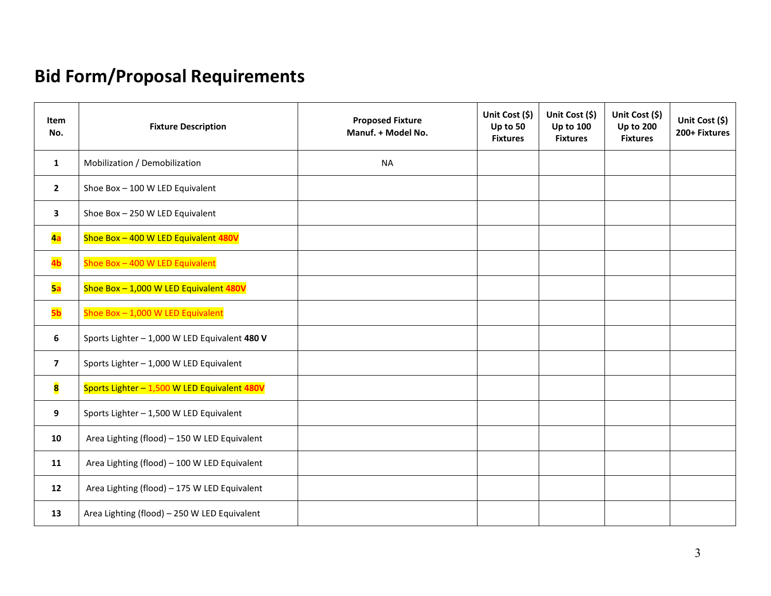# **Bid Form/Proposal Requirements**

| Item<br>No.             | <b>Fixture Description</b>                    | <b>Proposed Fixture</b><br>Manuf. + Model No. | Unit Cost (\$)<br>Up to 50<br><b>Fixtures</b> | Unit Cost (\$)<br><b>Up to 100</b><br><b>Fixtures</b> | Unit Cost (\$)<br><b>Up to 200</b><br><b>Fixtures</b> | Unit Cost (\$)<br>200+ Fixtures |
|-------------------------|-----------------------------------------------|-----------------------------------------------|-----------------------------------------------|-------------------------------------------------------|-------------------------------------------------------|---------------------------------|
| $\mathbf{1}$            | Mobilization / Demobilization                 | <b>NA</b>                                     |                                               |                                                       |                                                       |                                 |
| $\mathbf{2}$            | Shoe Box - 100 W LED Equivalent               |                                               |                                               |                                                       |                                                       |                                 |
| 3                       | Shoe Box - 250 W LED Equivalent               |                                               |                                               |                                                       |                                                       |                                 |
| 4a                      | Shoe Box - 400 W LED Equivalent 480V          |                                               |                                               |                                                       |                                                       |                                 |
| 4b                      | Shoe Box - 400 W LED Equivalent               |                                               |                                               |                                                       |                                                       |                                 |
| 5a                      | Shoe Box - 1,000 W LED Equivalent 480V        |                                               |                                               |                                                       |                                                       |                                 |
| 5 <sub>b</sub>          | Shoe Box - 1,000 W LED Equivalent             |                                               |                                               |                                                       |                                                       |                                 |
| 6                       | Sports Lighter - 1,000 W LED Equivalent 480 V |                                               |                                               |                                                       |                                                       |                                 |
| $\overline{\mathbf{z}}$ | Sports Lighter - 1,000 W LED Equivalent       |                                               |                                               |                                                       |                                                       |                                 |
| 8                       | Sports Lighter - 1,500 W LED Equivalent 480V  |                                               |                                               |                                                       |                                                       |                                 |
| 9                       | Sports Lighter - 1,500 W LED Equivalent       |                                               |                                               |                                                       |                                                       |                                 |
| 10                      | Area Lighting (flood) - 150 W LED Equivalent  |                                               |                                               |                                                       |                                                       |                                 |
| 11                      | Area Lighting (flood) - 100 W LED Equivalent  |                                               |                                               |                                                       |                                                       |                                 |
| 12                      | Area Lighting (flood) - 175 W LED Equivalent  |                                               |                                               |                                                       |                                                       |                                 |
| 13                      | Area Lighting (flood) - 250 W LED Equivalent  |                                               |                                               |                                                       |                                                       |                                 |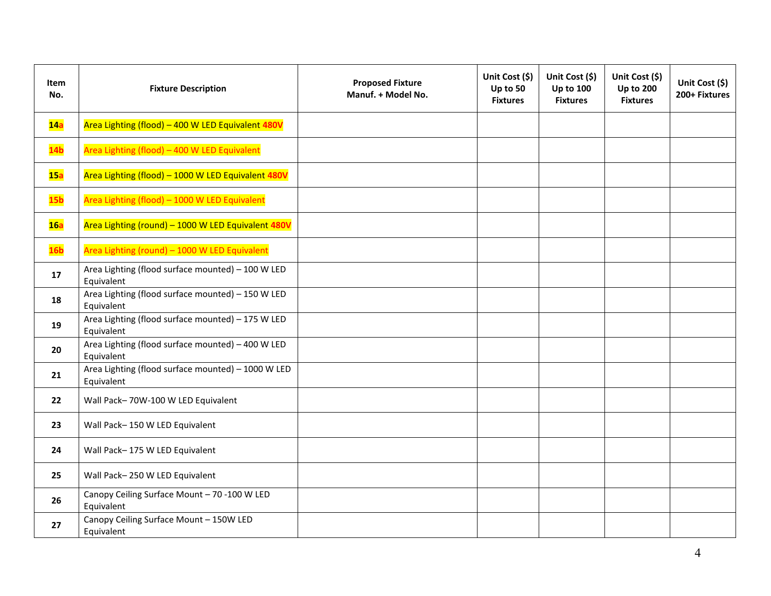| Item<br>No.     | <b>Fixture Description</b>                                       | <b>Proposed Fixture</b><br>Manuf. + Model No. | Unit Cost (\$)<br>Up to 50<br><b>Fixtures</b> | Unit Cost (\$)<br><b>Up to 100</b><br><b>Fixtures</b> | Unit Cost (\$)<br><b>Up to 200</b><br><b>Fixtures</b> | Unit Cost (\$)<br>200+ Fixtures |
|-----------------|------------------------------------------------------------------|-----------------------------------------------|-----------------------------------------------|-------------------------------------------------------|-------------------------------------------------------|---------------------------------|
| 14a             | Area Lighting (flood) - 400 W LED Equivalent 480V                |                                               |                                               |                                                       |                                                       |                                 |
| 14 <sub>b</sub> | Area Lighting (flood) - 400 W LED Equivalent                     |                                               |                                               |                                                       |                                                       |                                 |
| 15a             | Area Lighting (flood) - 1000 W LED Equivalent 480V               |                                               |                                               |                                                       |                                                       |                                 |
| 15 <sub>b</sub> | Area Lighting (flood) - 1000 W LED Equivalent                    |                                               |                                               |                                                       |                                                       |                                 |
| 16a             | Area Lighting (round) - 1000 W LED Equivalent 480V               |                                               |                                               |                                                       |                                                       |                                 |
| 16 <sub>b</sub> | Area Lighting (round) - 1000 W LED Equivalent                    |                                               |                                               |                                                       |                                                       |                                 |
| 17              | Area Lighting (flood surface mounted) - 100 W LED<br>Equivalent  |                                               |                                               |                                                       |                                                       |                                 |
| 18              | Area Lighting (flood surface mounted) - 150 W LED<br>Equivalent  |                                               |                                               |                                                       |                                                       |                                 |
| 19              | Area Lighting (flood surface mounted) - 175 W LED<br>Equivalent  |                                               |                                               |                                                       |                                                       |                                 |
| 20              | Area Lighting (flood surface mounted) - 400 W LED<br>Equivalent  |                                               |                                               |                                                       |                                                       |                                 |
| 21              | Area Lighting (flood surface mounted) - 1000 W LED<br>Equivalent |                                               |                                               |                                                       |                                                       |                                 |
| 22              | Wall Pack-70W-100 W LED Equivalent                               |                                               |                                               |                                                       |                                                       |                                 |
| 23              | Wall Pack-150 W LED Equivalent                                   |                                               |                                               |                                                       |                                                       |                                 |
| 24              | Wall Pack-175 W LED Equivalent                                   |                                               |                                               |                                                       |                                                       |                                 |
| 25              | Wall Pack-250 W LED Equivalent                                   |                                               |                                               |                                                       |                                                       |                                 |
| 26              | Canopy Ceiling Surface Mount - 70 -100 W LED<br>Equivalent       |                                               |                                               |                                                       |                                                       |                                 |
| 27              | Canopy Ceiling Surface Mount - 150W LED<br>Equivalent            |                                               |                                               |                                                       |                                                       |                                 |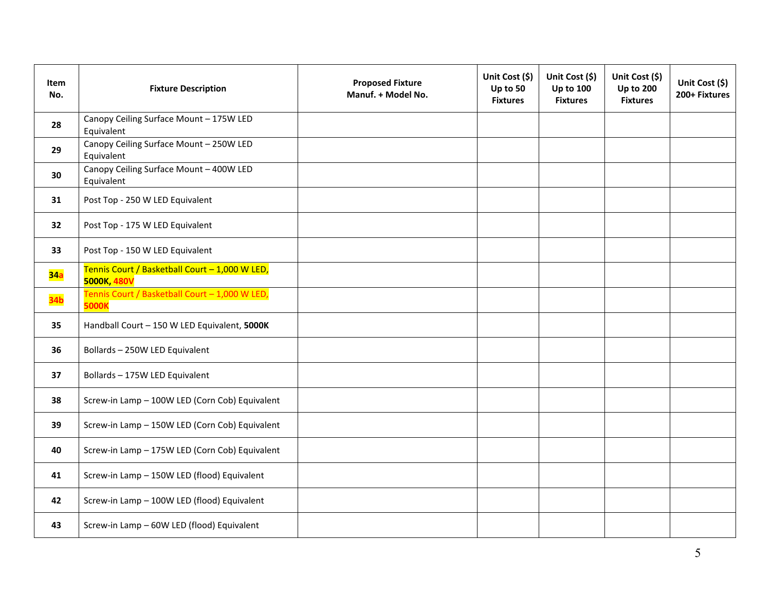| Item<br>No.     | <b>Fixture Description</b>                                     | <b>Proposed Fixture</b><br>Manuf. + Model No. | Unit Cost (\$)<br>Up to 50<br><b>Fixtures</b> | Unit Cost (\$)<br><b>Up to 100</b><br><b>Fixtures</b> | Unit Cost (\$)<br><b>Up to 200</b><br><b>Fixtures</b> | Unit Cost (\$)<br>200+ Fixtures |
|-----------------|----------------------------------------------------------------|-----------------------------------------------|-----------------------------------------------|-------------------------------------------------------|-------------------------------------------------------|---------------------------------|
| 28              | Canopy Ceiling Surface Mount - 175W LED<br>Equivalent          |                                               |                                               |                                                       |                                                       |                                 |
| 29              | Canopy Ceiling Surface Mount - 250W LED<br>Equivalent          |                                               |                                               |                                                       |                                                       |                                 |
| 30              | Canopy Ceiling Surface Mount - 400W LED<br>Equivalent          |                                               |                                               |                                                       |                                                       |                                 |
| 31              | Post Top - 250 W LED Equivalent                                |                                               |                                               |                                                       |                                                       |                                 |
| 32              | Post Top - 175 W LED Equivalent                                |                                               |                                               |                                                       |                                                       |                                 |
| 33              | Post Top - 150 W LED Equivalent                                |                                               |                                               |                                                       |                                                       |                                 |
| 34a             | Tennis Court / Basketball Court - 1,000 W LED,<br>5000K, 480V  |                                               |                                               |                                                       |                                                       |                                 |
| 34 <sub>b</sub> | Tennis Court / Basketball Court - 1,000 W LED,<br><b>5000K</b> |                                               |                                               |                                                       |                                                       |                                 |
| 35              | Handball Court - 150 W LED Equivalent, 5000K                   |                                               |                                               |                                                       |                                                       |                                 |
| 36              | Bollards - 250W LED Equivalent                                 |                                               |                                               |                                                       |                                                       |                                 |
| 37              | Bollards - 175W LED Equivalent                                 |                                               |                                               |                                                       |                                                       |                                 |
| 38              | Screw-in Lamp - 100W LED (Corn Cob) Equivalent                 |                                               |                                               |                                                       |                                                       |                                 |
| 39              | Screw-in Lamp - 150W LED (Corn Cob) Equivalent                 |                                               |                                               |                                                       |                                                       |                                 |
| 40              | Screw-in Lamp - 175W LED (Corn Cob) Equivalent                 |                                               |                                               |                                                       |                                                       |                                 |
| 41              | Screw-in Lamp - 150W LED (flood) Equivalent                    |                                               |                                               |                                                       |                                                       |                                 |
| 42              | Screw-in Lamp - 100W LED (flood) Equivalent                    |                                               |                                               |                                                       |                                                       |                                 |
| 43              | Screw-in Lamp - 60W LED (flood) Equivalent                     |                                               |                                               |                                                       |                                                       |                                 |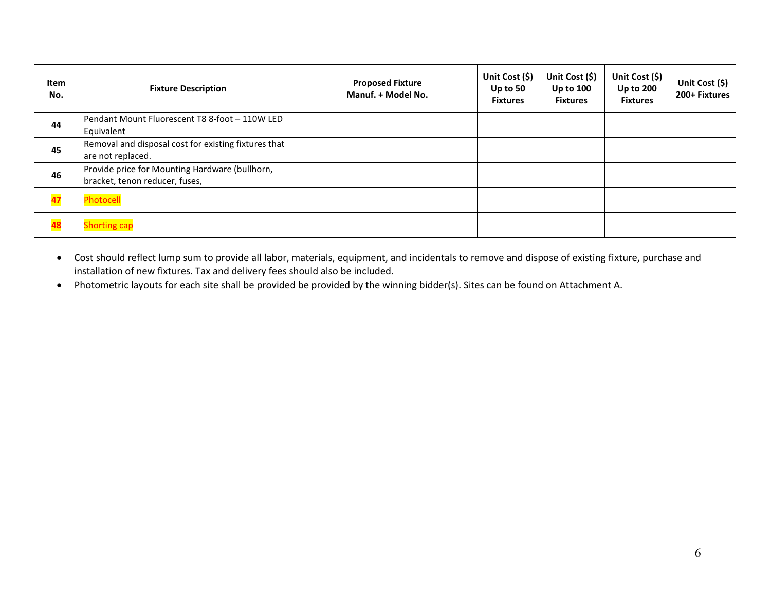| Item<br>No. | <b>Fixture Description</b>                                                       | <b>Proposed Fixture</b><br>Manuf. + Model No. | Unit Cost (\$)<br>Up to $50$<br><b>Fixtures</b> | Unit Cost $(5)$<br>Up to $100$<br><b>Fixtures</b> | Unit Cost $(5)$<br><b>Up to 200</b><br><b>Fixtures</b> | Unit Cost (\$)<br>200+ Fixtures |
|-------------|----------------------------------------------------------------------------------|-----------------------------------------------|-------------------------------------------------|---------------------------------------------------|--------------------------------------------------------|---------------------------------|
| 44          | Pendant Mount Fluorescent T8 8-foot - 110W LED<br>Equivalent                     |                                               |                                                 |                                                   |                                                        |                                 |
| 45          | Removal and disposal cost for existing fixtures that<br>are not replaced.        |                                               |                                                 |                                                   |                                                        |                                 |
| 46          | Provide price for Mounting Hardware (bullhorn,<br>bracket, tenon reducer, fuses, |                                               |                                                 |                                                   |                                                        |                                 |
| 47          | Photocell                                                                        |                                               |                                                 |                                                   |                                                        |                                 |
| 48          | <b>Shorting cap</b>                                                              |                                               |                                                 |                                                   |                                                        |                                 |

- Cost should reflect lump sum to provide all labor, materials, equipment, and incidentals to remove and dispose of existing fixture, purchase and installation of new fixtures. Tax and delivery fees should also be included.
- Photometric layouts for each site shall be provided be provided by the winning bidder(s). Sites can be found on Attachment A.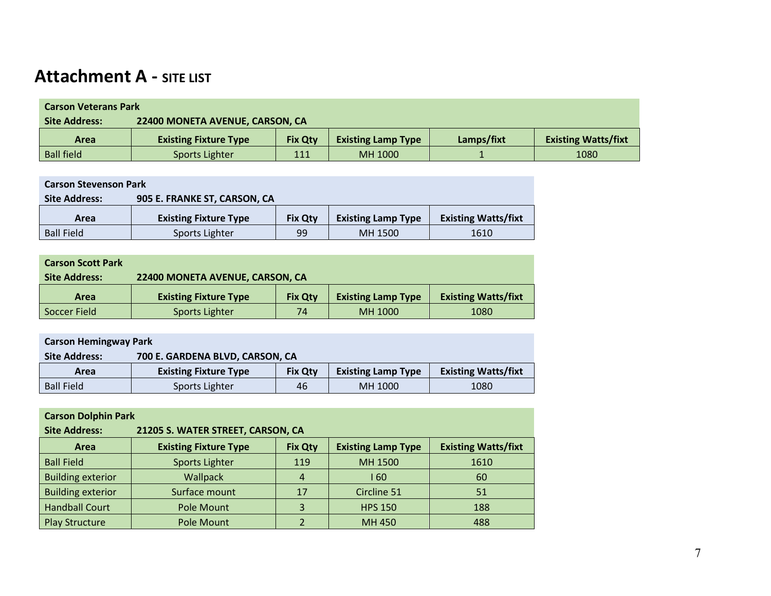# **Attachment A - SITE LIST**

| <b>Carson Veterans Park</b> |                                 |                |                           |            |                            |  |  |
|-----------------------------|---------------------------------|----------------|---------------------------|------------|----------------------------|--|--|
| <b>Site Address:</b>        | 22400 MONETA AVENUE, CARSON, CA |                |                           |            |                            |  |  |
| <b>Area</b>                 | <b>Existing Fixture Type</b>    | <b>Fix Otv</b> | <b>Existing Lamp Type</b> | Lamps/fixt | <b>Existing Watts/fixt</b> |  |  |
| <b>Ball field</b>           | Sports Lighter                  | 111            | MH 1000                   |            | 1080                       |  |  |

| <b>Carson Stevenson Park</b>                         |                              |                |                           |                            |  |
|------------------------------------------------------|------------------------------|----------------|---------------------------|----------------------------|--|
| <b>Site Address:</b><br>905 E. FRANKE ST, CARSON, CA |                              |                |                           |                            |  |
| Area                                                 | <b>Existing Fixture Type</b> | <b>Fix Qty</b> | <b>Existing Lamp Type</b> | <b>Existing Watts/fixt</b> |  |
| <b>Ball Field</b>                                    | Sports Lighter               | 99             | MH 1500                   | 1610                       |  |

| <b>Carson Scott Park</b> |                                 |                |                           |                            |  |  |  |
|--------------------------|---------------------------------|----------------|---------------------------|----------------------------|--|--|--|
| <b>Site Address:</b>     | 22400 MONETA AVENUE, CARSON, CA |                |                           |                            |  |  |  |
| Area                     | <b>Existing Fixture Type</b>    | <b>Fix Qty</b> | <b>Existing Lamp Type</b> | <b>Existing Watts/fixt</b> |  |  |  |
| Soccer Field             | Sports Lighter                  | 74             | MH 1000                   | 1080                       |  |  |  |

| <b>Carson Hemingway Park</b>                            |                              |                |                           |                            |  |  |  |
|---------------------------------------------------------|------------------------------|----------------|---------------------------|----------------------------|--|--|--|
| 700 E. GARDENA BLVD, CARSON, CA<br><b>Site Address:</b> |                              |                |                           |                            |  |  |  |
| Area                                                    | <b>Existing Fixture Type</b> | <b>Fix Qty</b> | <b>Existing Lamp Type</b> | <b>Existing Watts/fixt</b> |  |  |  |
| <b>Ball Field</b>                                       | Sports Lighter               | 46             | MH 1000                   | 1080                       |  |  |  |

| <b>Carson Dolphin Park</b>                                |                              |                |                           |                            |  |  |  |
|-----------------------------------------------------------|------------------------------|----------------|---------------------------|----------------------------|--|--|--|
| <b>Site Address:</b><br>21205 S. WATER STREET, CARSON, CA |                              |                |                           |                            |  |  |  |
| Area                                                      | <b>Existing Fixture Type</b> | <b>Fix Qty</b> | <b>Existing Lamp Type</b> | <b>Existing Watts/fixt</b> |  |  |  |
| <b>Ball Field</b>                                         | Sports Lighter               | 119            | MH 1500                   | 1610                       |  |  |  |
| <b>Building exterior</b>                                  | Wallpack                     | 4              | 1 60                      | 60                         |  |  |  |
| <b>Building exterior</b>                                  | Surface mount                | 17             | Circline 51               | 51                         |  |  |  |
| <b>Handball Court</b>                                     | Pole Mount                   | 3              | <b>HPS 150</b>            | 188                        |  |  |  |
| <b>Play Structure</b>                                     | Pole Mount                   |                | MH 450                    | 488                        |  |  |  |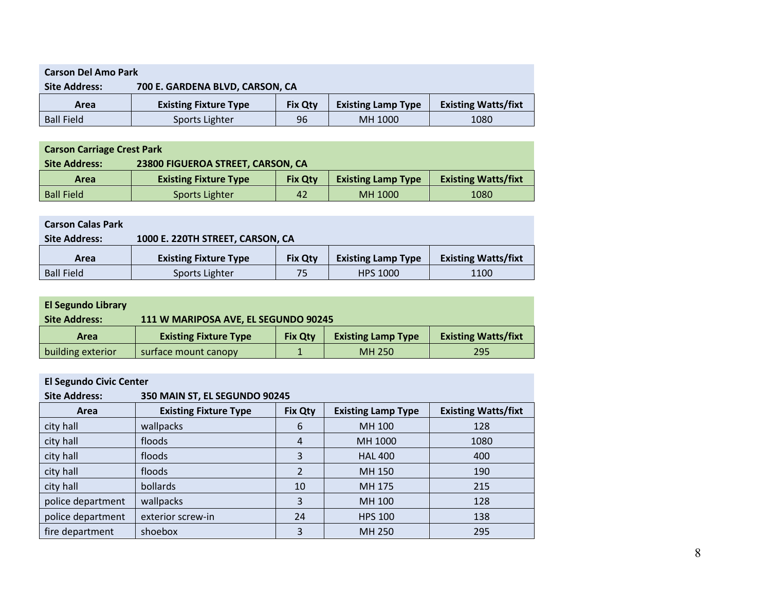| <b>Carson Del Amo Park</b>                              |                              |                |                           |                            |  |  |  |
|---------------------------------------------------------|------------------------------|----------------|---------------------------|----------------------------|--|--|--|
| 700 E. GARDENA BLVD, CARSON, CA<br><b>Site Address:</b> |                              |                |                           |                            |  |  |  |
| Area                                                    | <b>Existing Fixture Type</b> | <b>Fix Otv</b> | <b>Existing Lamp Type</b> | <b>Existing Watts/fixt</b> |  |  |  |
| <b>Ball Field</b>                                       | Sports Lighter               | 96             | MH 1000                   | 1080                       |  |  |  |

| <b>Carson Carriage Crest Park</b> |                                   |                |                           |                            |  |  |  |
|-----------------------------------|-----------------------------------|----------------|---------------------------|----------------------------|--|--|--|
| <b>Site Address:</b>              | 23800 FIGUEROA STREET, CARSON, CA |                |                           |                            |  |  |  |
| Area                              | <b>Existing Fixture Type</b>      | <b>Fix Otv</b> | <b>Existing Lamp Type</b> | <b>Existing Watts/fixt</b> |  |  |  |
| <b>Ball Field</b>                 | Sports Lighter                    | 42             | MH 1000                   | 1080                       |  |  |  |

| <b>Carson Calas Park</b> |                                  |                |                           |                            |
|--------------------------|----------------------------------|----------------|---------------------------|----------------------------|
| <b>Site Address:</b>     | 1000 E. 220TH STREET, CARSON, CA |                |                           |                            |
| Area                     | <b>Existing Fixture Type</b>     | <b>Fix Qty</b> | <b>Existing Lamp Type</b> | <b>Existing Watts/fixt</b> |
| <b>Ball Field</b>        | Sports Lighter                   | 75             | <b>HPS 1000</b>           | 1100                       |

| <b>El Segundo Library</b> |                                      |                |                           |                            |
|---------------------------|--------------------------------------|----------------|---------------------------|----------------------------|
| <b>Site Address:</b>      | 111 W MARIPOSA AVE, EL SEGUNDO 90245 |                |                           |                            |
| Area                      | <b>Existing Fixture Type</b>         | <b>Fix Otv</b> | <b>Existing Lamp Type</b> | <b>Existing Watts/fixt</b> |
| building exterior         | surface mount canopy                 |                | MH 250                    | 295                        |

# **El Segundo Civic Center**

| <b>Site Address:</b> | 350 MAIN ST, EL SEGUNDO 90245 |                |                           |                            |
|----------------------|-------------------------------|----------------|---------------------------|----------------------------|
| Area                 | <b>Existing Fixture Type</b>  | <b>Fix Qty</b> | <b>Existing Lamp Type</b> | <b>Existing Watts/fixt</b> |
| city hall            | wallpacks                     | 6              | MH 100                    | 128                        |
| city hall            | floods                        | $\overline{4}$ | MH 1000                   | 1080                       |
| city hall            | floods                        | 3              | <b>HAL 400</b>            | 400                        |
| city hall            | floods                        | 2              | MH 150                    | 190                        |
| city hall            | bollards                      | 10             | MH 175                    | 215                        |
| police department    | wallpacks                     | 3              | MH 100                    | 128                        |
| police department    | exterior screw-in             | 24             | <b>HPS 100</b>            | 138                        |
| fire department      | shoebox                       | 3              | MH 250                    | 295                        |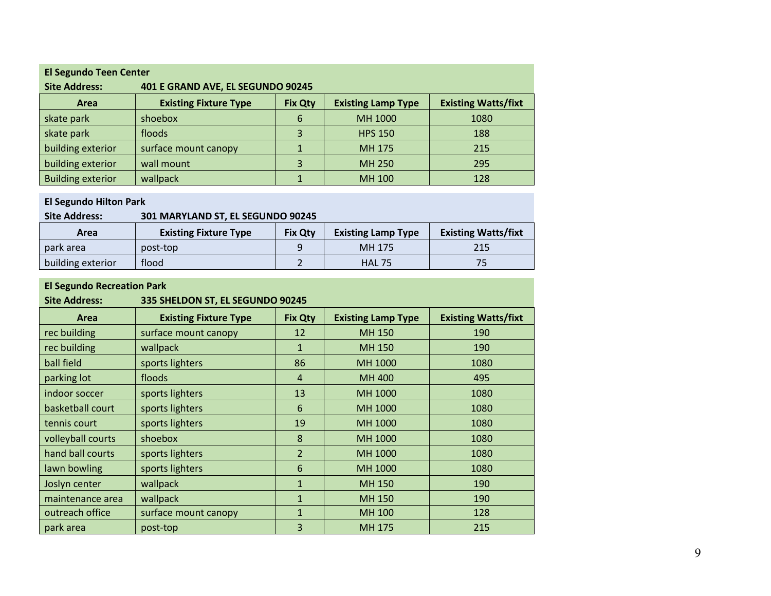| <b>El Segundo Teen Center</b> |                                                                                                           |   |                |      |  |
|-------------------------------|-----------------------------------------------------------------------------------------------------------|---|----------------|------|--|
| <b>Site Address:</b>          | 401 E GRAND AVE, EL SEGUNDO 90245                                                                         |   |                |      |  |
| Area                          | <b>Existing Watts/fixt</b><br><b>Existing Fixture Type</b><br><b>Existing Lamp Type</b><br><b>Fix Qty</b> |   |                |      |  |
| skate park                    | shoebox                                                                                                   | 6 | MH 1000        | 1080 |  |
| skate park                    | floods                                                                                                    | 3 | <b>HPS 150</b> | 188  |  |
| building exterior             | surface mount canopy                                                                                      |   | MH 175         | 215  |  |
| building exterior             | wall mount                                                                                                | 3 | MH 250         | 295  |  |
| <b>Building exterior</b>      | wallpack                                                                                                  |   | MH 100         | 128  |  |

#### **El Segundo Hilton Park**

## **Site Address: 301 MARYLAND ST, EL SEGUNDO 90245**

| Area              | <b>Existing Fixture Type</b> | <b>Fix Qty</b> | <b>Existing Lamp Type</b> | <b>Existing Watts/fixt</b> |
|-------------------|------------------------------|----------------|---------------------------|----------------------------|
| park area         | post-top                     |                | MH 175                    | 215                        |
| building exterior | flood                        |                | <b>HAL 75</b>             |                            |

# **El Segundo Recreation Park**

# **Site Address: 335 SHELDON ST, EL SEGUNDO 90245**

| Area              | <b>Existing Fixture Type</b> | <b>Fix Qty</b> | <b>Existing Lamp Type</b> | <b>Existing Watts/fixt</b> |
|-------------------|------------------------------|----------------|---------------------------|----------------------------|
| rec building      | surface mount canopy         | 12             | <b>MH 150</b>             | 190                        |
| rec building      | wallpack                     | $\mathbf{1}$   | MH 150                    | 190                        |
| ball field        | sports lighters              | 86             | MH 1000                   | 1080                       |
| parking lot       | floods                       | $\overline{4}$ | <b>MH 400</b>             | 495                        |
| indoor soccer     | sports lighters              | 13             | MH 1000                   | 1080                       |
| basketball court  | sports lighters              | 6              | MH 1000                   | 1080                       |
| tennis court      | sports lighters              | 19             | MH 1000                   | 1080                       |
| volleyball courts | shoebox                      | 8              | MH 1000                   | 1080                       |
| hand ball courts  | sports lighters              | $\overline{2}$ | MH 1000                   | 1080                       |
| lawn bowling      | sports lighters              | 6              | MH 1000                   | 1080                       |
| Joslyn center     | wallpack                     | 1              | <b>MH 150</b>             | 190                        |
| maintenance area  | wallpack                     | $\mathbf{1}$   | MH 150                    | 190                        |
| outreach office   | surface mount canopy         | $\mathbf{1}$   | <b>MH 100</b>             | 128                        |
| park area         | post-top                     | 3              | MH 175                    | 215                        |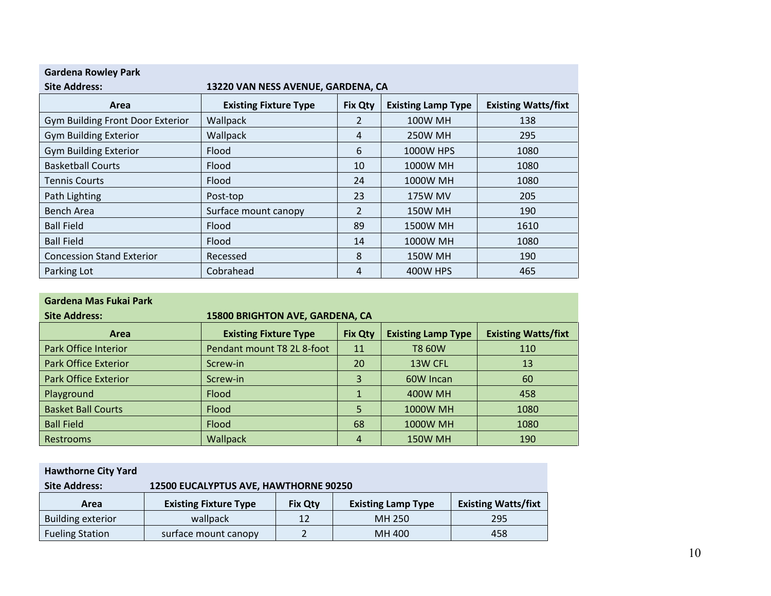| <b>Gardena Rowley Park</b>                                 |                                                                                                           |    |                |      |  |
|------------------------------------------------------------|-----------------------------------------------------------------------------------------------------------|----|----------------|------|--|
| 13220 VAN NESS AVENUE, GARDENA, CA<br><b>Site Address:</b> |                                                                                                           |    |                |      |  |
| Area                                                       | <b>Existing Watts/fixt</b><br><b>Existing Fixture Type</b><br><b>Fix Qty</b><br><b>Existing Lamp Type</b> |    |                |      |  |
| Gym Building Front Door Exterior                           | Wallpack                                                                                                  | 2  | <b>100W MH</b> | 138  |  |
| <b>Gym Building Exterior</b>                               | Wallpack                                                                                                  | 4  | <b>250W MH</b> | 295  |  |
| <b>Gym Building Exterior</b>                               | <b>Flood</b>                                                                                              | 6  | 1000W HPS      | 1080 |  |
| <b>Basketball Courts</b>                                   | Flood                                                                                                     | 10 | 1000W MH       | 1080 |  |
| <b>Tennis Courts</b>                                       | <b>Flood</b>                                                                                              | 24 | 1000W MH       | 1080 |  |
| Path Lighting                                              | Post-top                                                                                                  | 23 | <b>175W MV</b> | 205  |  |
| Bench Area                                                 | Surface mount canopy                                                                                      | 2  | <b>150W MH</b> | 190  |  |
| <b>Ball Field</b>                                          | Flood                                                                                                     | 89 | 1500W MH       | 1610 |  |
| <b>Ball Field</b>                                          | Flood                                                                                                     | 14 | 1000W MH       | 1080 |  |
| <b>Concession Stand Exterior</b>                           | Recessed                                                                                                  | 8  | <b>150W MH</b> | 190  |  |
| Parking Lot                                                | Cobrahead                                                                                                 | 4  | 400W HPS       | 465  |  |

|  | Gardena Mas Fukai Park |  |  |
|--|------------------------|--|--|
|--|------------------------|--|--|

| <b>Site Address:</b>        | 15800 BRIGHTON AVE, GARDENA, CA                                                                           |    |                 |      |  |
|-----------------------------|-----------------------------------------------------------------------------------------------------------|----|-----------------|------|--|
| Area                        | <b>Existing Watts/fixt</b><br><b>Existing Fixture Type</b><br><b>Fix Qty</b><br><b>Existing Lamp Type</b> |    |                 |      |  |
| Park Office Interior        | Pendant mount T8 2L 8-foot                                                                                | 11 | <b>T8 60W</b>   | 110  |  |
| <b>Park Office Exterior</b> | Screw-in                                                                                                  | 20 | 13W CFL         | 13   |  |
| <b>Park Office Exterior</b> | Screw-in                                                                                                  | 3  | 60W Incan       | 60   |  |
| Playground                  | Flood                                                                                                     |    | <b>400W MH</b>  | 458  |  |
| <b>Basket Ball Courts</b>   | Flood                                                                                                     | 5  | <b>1000W MH</b> | 1080 |  |
| <b>Ball Field</b>           | Flood                                                                                                     | 68 | 1000W MH        | 1080 |  |
| Restrooms                   | Wallpack                                                                                                  | 4  | <b>150W MH</b>  | 190  |  |

| <b>Hawthorne City Yard</b> |                                                                                                           |    |        |     |  |
|----------------------------|-----------------------------------------------------------------------------------------------------------|----|--------|-----|--|
| <b>Site Address:</b>       | 12500 EUCALYPTUS AVE, HAWTHORNE 90250                                                                     |    |        |     |  |
| Area                       | <b>Existing Watts/fixt</b><br><b>Existing Lamp Type</b><br><b>Existing Fixture Type</b><br><b>Fix Qty</b> |    |        |     |  |
| <b>Building exterior</b>   | wallpack                                                                                                  | 12 | MH 250 | 295 |  |
| <b>Fueling Station</b>     | surface mount canopy                                                                                      |    | MH 400 | 458 |  |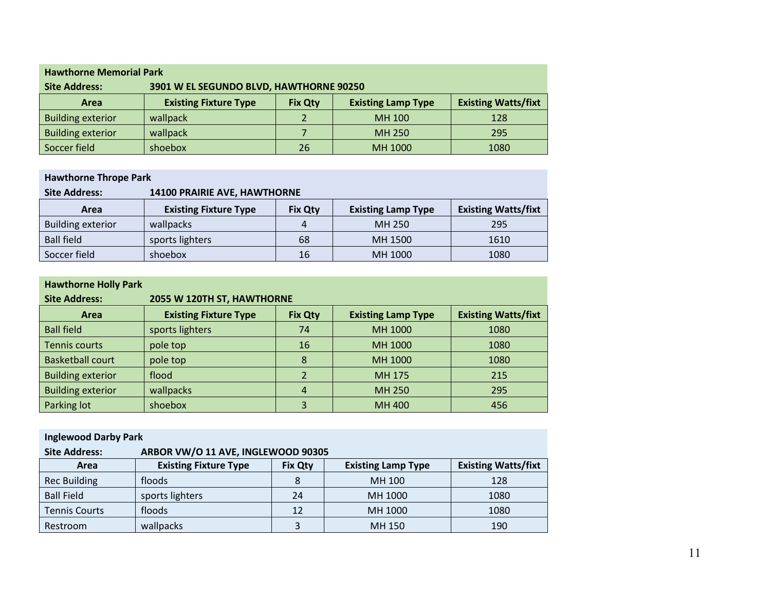| <b>Hawthorne Memorial Park</b> |                                                                                                           |    |         |      |  |
|--------------------------------|-----------------------------------------------------------------------------------------------------------|----|---------|------|--|
| <b>Site Address:</b>           | 3901 W EL SEGUNDO BLVD, HAWTHORNE 90250                                                                   |    |         |      |  |
| <b>Area</b>                    | <b>Existing Watts/fixt</b><br><b>Existing Fixture Type</b><br><b>Existing Lamp Type</b><br><b>Fix Qty</b> |    |         |      |  |
| <b>Building exterior</b>       | wallpack                                                                                                  |    | MH 100  | 128  |  |
| <b>Building exterior</b>       | wallpack                                                                                                  |    | MH 250  | 295  |  |
| Soccer field                   | shoebox                                                                                                   | 26 | MH 1000 | 1080 |  |

| <b>Hawthorne Thrope Park</b> |                              |                |                           |                            |
|------------------------------|------------------------------|----------------|---------------------------|----------------------------|
| <b>Site Address:</b>         | 14100 PRAIRIE AVE, HAWTHORNE |                |                           |                            |
| Area                         | <b>Existing Fixture Type</b> | <b>Fix Qty</b> | <b>Existing Lamp Type</b> | <b>Existing Watts/fixt</b> |
| <b>Building exterior</b>     | wallpacks                    |                | MH 250                    | 295                        |
| <b>Ball field</b>            | sports lighters              | 68             | MH 1500                   | 1610                       |
| Soccer field                 | shoebox                      | 16             | MH 1000                   | 1080                       |

| <b>Hawthorne Holly Park</b> |                              |                |                           |                            |
|-----------------------------|------------------------------|----------------|---------------------------|----------------------------|
| <b>Site Address:</b>        | 2055 W 120TH ST, HAWTHORNE   |                |                           |                            |
| Area                        | <b>Existing Fixture Type</b> | <b>Fix Qty</b> | <b>Existing Lamp Type</b> | <b>Existing Watts/fixt</b> |
| <b>Ball field</b>           | sports lighters              | 74             | MH 1000                   | 1080                       |
| <b>Tennis courts</b>        | pole top                     | 16             | MH 1000                   | 1080                       |
| <b>Basketball court</b>     | pole top                     | 8              | MH 1000                   | 1080                       |
| <b>Building exterior</b>    | flood                        |                | MH 175                    | 215                        |
| <b>Building exterior</b>    | wallpacks                    | $\overline{a}$ | MH 250                    | 295                        |
| Parking lot                 | shoebox                      | 3              | MH 400                    | 456                        |

| <b>Inglewood Darby Park</b> |                                    |                |                           |                            |  |
|-----------------------------|------------------------------------|----------------|---------------------------|----------------------------|--|
| <b>Site Address:</b>        | ARBOR VW/O 11 AVE, INGLEWOOD 90305 |                |                           |                            |  |
| Area                        | <b>Existing Fixture Type</b>       | <b>Fix Qty</b> | <b>Existing Lamp Type</b> | <b>Existing Watts/fixt</b> |  |
| <b>Rec Building</b>         | floods                             | 8              | MH 100                    | 128                        |  |
| <b>Ball Field</b>           | sports lighters                    | 24             | MH 1000                   | 1080                       |  |
| <b>Tennis Courts</b>        | floods                             | 12             | MH 1000                   | 1080                       |  |
| Restroom                    | wallpacks                          | 3              | MH 150                    | 190                        |  |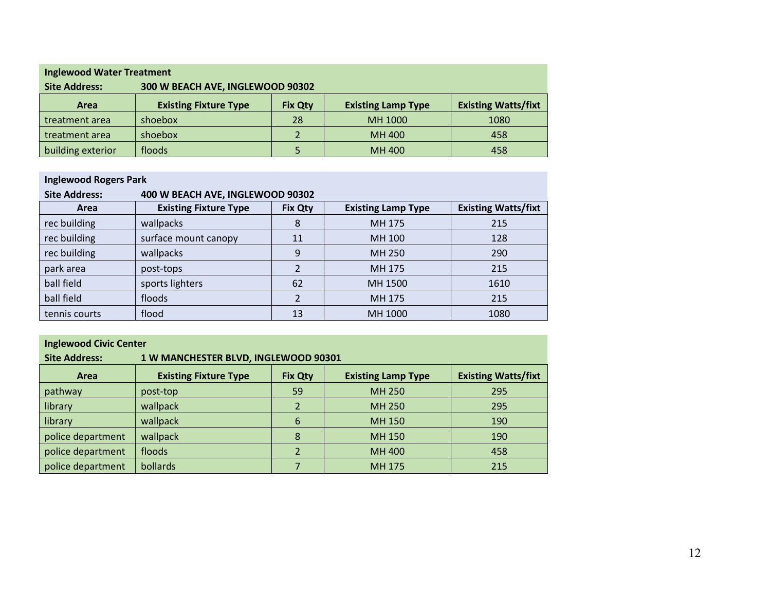| <b>Inglewood Water Treatment</b> |                                                                                                           |    |         |      |
|----------------------------------|-----------------------------------------------------------------------------------------------------------|----|---------|------|
| <b>Site Address:</b>             | 300 W BEACH AVE, INGLEWOOD 90302                                                                          |    |         |      |
| Area                             | <b>Existing Watts/fixt</b><br><b>Existing Fixture Type</b><br><b>Existing Lamp Type</b><br><b>Fix Qty</b> |    |         |      |
| treatment area                   | shoebox                                                                                                   | 28 | MH 1000 | 1080 |
| treatment area                   | shoebox                                                                                                   |    | MH 400  | 458  |
| building exterior                | floods                                                                                                    |    | MH 400  | 458  |

# **Inglewood Rogers Park**

| <b>Site Address:</b> | 400 W BEACH AVE, INGLEWOOD 90302 |                |                           |                            |
|----------------------|----------------------------------|----------------|---------------------------|----------------------------|
| Area                 | <b>Existing Fixture Type</b>     | <b>Fix Qty</b> | <b>Existing Lamp Type</b> | <b>Existing Watts/fixt</b> |
| rec building         | wallpacks                        | 8              | MH 175                    | 215                        |
| rec building         | surface mount canopy             | 11             | MH 100                    | 128                        |
| rec building         | wallpacks                        | 9              | MH 250                    | 290                        |
| park area            | post-tops                        | $\mathfrak z$  | MH 175                    | 215                        |
| ball field           | sports lighters                  | 62             | MH 1500                   | 1610                       |
| ball field           | floods                           |                | MH 175                    | 215                        |
| tennis courts        | flood                            | 13             | MH 1000                   | 1080                       |

# **Inglewood Civic Center**

| <b>Site Address:</b><br>1 W MANCHESTER BLVD, INGLEWOOD 90301 |                                                                                                           |    |        |     |  |  |
|--------------------------------------------------------------|-----------------------------------------------------------------------------------------------------------|----|--------|-----|--|--|
| Area                                                         | <b>Existing Watts/fixt</b><br><b>Existing Fixture Type</b><br><b>Existing Lamp Type</b><br><b>Fix Qty</b> |    |        |     |  |  |
| pathway                                                      | post-top                                                                                                  | 59 | MH 250 | 295 |  |  |
| library                                                      | wallpack                                                                                                  |    | MH 250 | 295 |  |  |
| library                                                      | wallpack                                                                                                  | 6  | MH 150 | 190 |  |  |
| police department                                            | wallpack                                                                                                  | 8  | MH 150 | 190 |  |  |
| police department                                            | floods                                                                                                    |    | MH 400 | 458 |  |  |
| police department                                            | bollards                                                                                                  |    | MH 175 | 215 |  |  |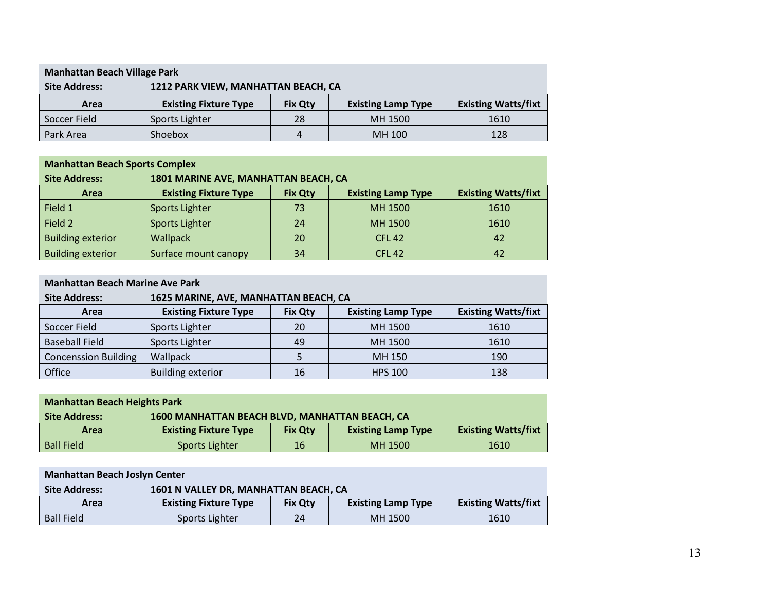| <b>Manhattan Beach Village Park</b>                         |                              |                |                           |                            |
|-------------------------------------------------------------|------------------------------|----------------|---------------------------|----------------------------|
| 1212 PARK VIEW, MANHATTAN BEACH, CA<br><b>Site Address:</b> |                              |                |                           |                            |
| Area                                                        | <b>Existing Fixture Type</b> | <b>Fix Qty</b> | <b>Existing Lamp Type</b> | <b>Existing Watts/fixt</b> |
| Soccer Field                                                | Sports Lighter               | 28             | MH 1500                   | 1610                       |
| Park Area                                                   | Shoebox                      | 4              | MH 100                    | 128                        |

# **Manhattan Beach Sports Complex**

| <b>Site Address:</b>     | 1801 MARINE AVE, MANHATTAN BEACH, CA                                                                      |    |               |      |  |  |
|--------------------------|-----------------------------------------------------------------------------------------------------------|----|---------------|------|--|--|
| <b>Area</b>              | <b>Existing Watts/fixt</b><br><b>Existing Fixture Type</b><br><b>Existing Lamp Type</b><br><b>Fix Qty</b> |    |               |      |  |  |
| Field 1                  | Sports Lighter                                                                                            | 73 | MH 1500       | 1610 |  |  |
| Field 2                  | Sports Lighter                                                                                            | 24 | MH 1500       | 1610 |  |  |
| <b>Building exterior</b> | <b>Wallpack</b>                                                                                           | 20 | <b>CFL 42</b> | 42   |  |  |
| <b>Building exterior</b> | Surface mount canopy                                                                                      | 34 | <b>CFL 42</b> | 42   |  |  |

| <b>Manhattan Beach Marine Ave Park</b> |                                       |                |                           |                            |
|----------------------------------------|---------------------------------------|----------------|---------------------------|----------------------------|
| <b>Site Address:</b>                   | 1625 MARINE, AVE, MANHATTAN BEACH, CA |                |                           |                            |
| Area                                   | <b>Existing Fixture Type</b>          | <b>Fix Qty</b> | <b>Existing Lamp Type</b> | <b>Existing Watts/fixt</b> |
| Soccer Field                           | Sports Lighter                        | 20             | MH 1500                   | 1610                       |
| <b>Baseball Field</b>                  | Sports Lighter                        | 49             | MH 1500                   | 1610                       |
| <b>Concenssion Building</b>            | Wallpack                              |                | MH 150                    | 190                        |
| Office                                 | <b>Building exterior</b>              | 16             | <b>HPS 100</b>            | 138                        |

| <b>Manhattan Beach Heights Park</b> |                                                |                |                           |                            |
|-------------------------------------|------------------------------------------------|----------------|---------------------------|----------------------------|
| <b>Site Address:</b>                | 1600 MANHATTAN BEACH BLVD, MANHATTAN BEACH, CA |                |                           |                            |
| Area                                | <b>Existing Fixture Type</b>                   | <b>Fix Qty</b> | <b>Existing Lamp Type</b> | <b>Existing Watts/fixt</b> |
| <b>Ball Field</b>                   | Sports Lighter                                 | 16             | MH 1500                   | 1610                       |

| <b>Manhattan Beach Joslyn Center</b> |                                       |                |                           |                            |
|--------------------------------------|---------------------------------------|----------------|---------------------------|----------------------------|
| <b>Site Address:</b>                 | 1601 N VALLEY DR, MANHATTAN BEACH, CA |                |                           |                            |
| Area                                 | <b>Existing Fixture Type</b>          | <b>Fix Qty</b> | <b>Existing Lamp Type</b> | <b>Existing Watts/fixt</b> |
| <b>Ball Field</b>                    | Sports Lighter                        | 24             | MH 1500                   | 1610                       |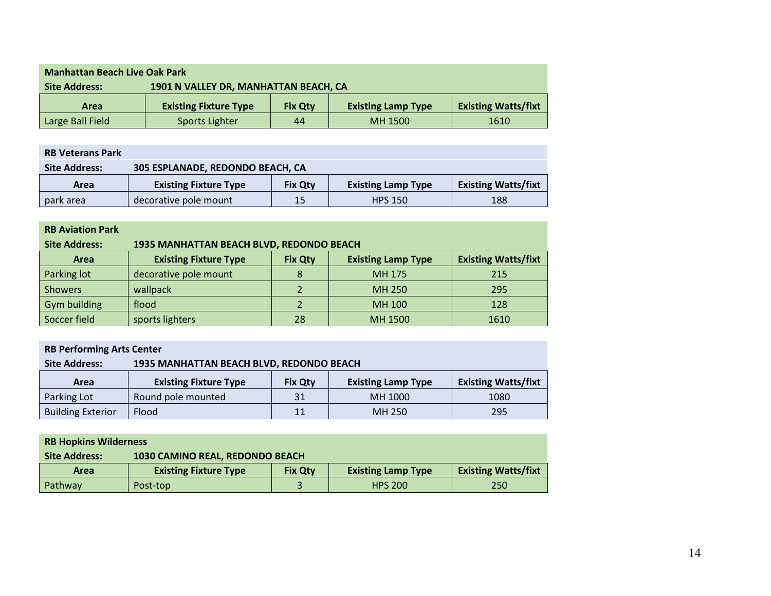| <b>Manhattan Beach Live Oak Park</b>                          |                              |                |                           |                            |
|---------------------------------------------------------------|------------------------------|----------------|---------------------------|----------------------------|
| 1901 N VALLEY DR, MANHATTAN BEACH, CA<br><b>Site Address:</b> |                              |                |                           |                            |
| Area                                                          | <b>Existing Fixture Type</b> | <b>Fix Qty</b> | <b>Existing Lamp Type</b> | <b>Existing Watts/fixt</b> |
| Large Ball Field                                              | Sports Lighter               | 44             | MH 1500                   | 1610                       |

| <b>RB Veterans Park</b> |                                  |                |                           |                            |
|-------------------------|----------------------------------|----------------|---------------------------|----------------------------|
| <b>Site Address:</b>    | 305 ESPLANADE, REDONDO BEACH, CA |                |                           |                            |
| Area                    | <b>Existing Fixture Type</b>     | <b>Fix Qty</b> | <b>Existing Lamp Type</b> | <b>Existing Watts/fixt</b> |
| park area               | decorative pole mount            | 15             | <b>HPS 150</b>            | 188                        |

| <b>RB Aviation Park</b> |                                          |                |                           |                            |
|-------------------------|------------------------------------------|----------------|---------------------------|----------------------------|
| <b>Site Address:</b>    | 1935 MANHATTAN BEACH BLVD, REDONDO BEACH |                |                           |                            |
| Area                    | <b>Existing Fixture Type</b>             | <b>Fix Qty</b> | <b>Existing Lamp Type</b> | <b>Existing Watts/fixt</b> |
| Parking lot             | decorative pole mount                    |                | MH 175                    | 215                        |
| <b>Showers</b>          | wallpack                                 |                | MH 250                    | 295                        |
| Gym building            | flood                                    |                | MH 100                    | 128                        |
| Soccer field            | sports lighters                          | 28             | MH 1500                   | 1610                       |

| <b>RB Performing Arts Center</b> |                                          |                |                           |                            |
|----------------------------------|------------------------------------------|----------------|---------------------------|----------------------------|
| <b>Site Address:</b>             | 1935 MANHATTAN BEACH BLVD, REDONDO BEACH |                |                           |                            |
| Area                             | <b>Existing Fixture Type</b>             | <b>Fix Qty</b> | <b>Existing Lamp Type</b> | <b>Existing Watts/fixt</b> |
| Parking Lot                      | Round pole mounted                       | 31             | MH 1000                   | 1080                       |
| <b>Building Exterior</b>         | <b>Flood</b>                             | 11             | MH 250                    | 295                        |

| <b>RB Hopkins Wilderness</b> |                                                         |                              |                |                           |                            |
|------------------------------|---------------------------------------------------------|------------------------------|----------------|---------------------------|----------------------------|
|                              | 1030 CAMINO REAL, REDONDO BEACH<br><b>Site Address:</b> |                              |                |                           |                            |
|                              | Area                                                    | <b>Existing Fixture Type</b> | <b>Fix Qty</b> | <b>Existing Lamp Type</b> | <b>Existing Watts/fixt</b> |
|                              | Pathway                                                 | Post-top                     |                | <b>HPS 200</b>            | 250                        |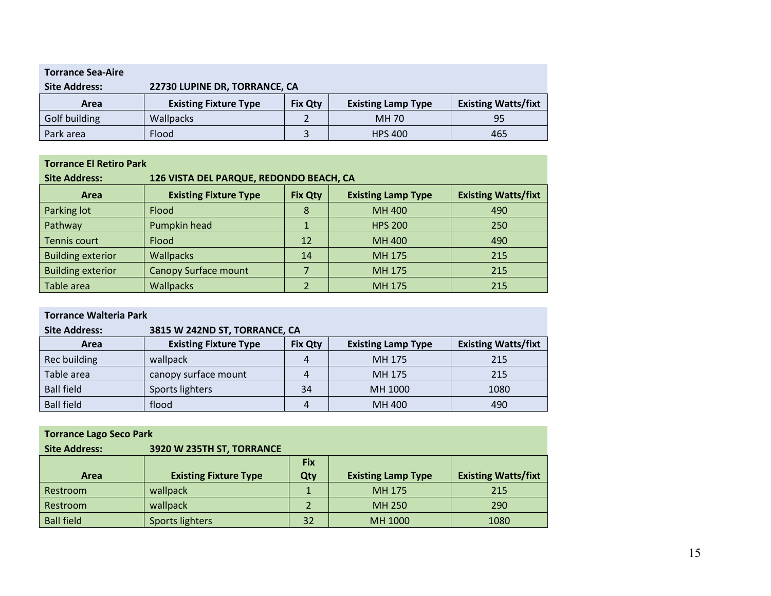| <b>Torrance Sea-Aire</b> |                               |                |                           |                            |
|--------------------------|-------------------------------|----------------|---------------------------|----------------------------|
| <b>Site Address:</b>     | 22730 LUPINE DR, TORRANCE, CA |                |                           |                            |
| Area                     | <b>Existing Fixture Type</b>  | <b>Fix Qty</b> | <b>Existing Lamp Type</b> | <b>Existing Watts/fixt</b> |
| Golf building            | <b>Wallpacks</b>              |                | MH 70                     | 95                         |
| Park area                | Flood                         |                | <b>HPS 400</b>            | 465                        |

| <b>Torrance El Retiro Park</b> |                                         |                |                           |                            |  |
|--------------------------------|-----------------------------------------|----------------|---------------------------|----------------------------|--|
| <b>Site Address:</b>           | 126 VISTA DEL PARQUE, REDONDO BEACH, CA |                |                           |                            |  |
| Area                           | <b>Existing Fixture Type</b>            | <b>Fix Qty</b> | <b>Existing Lamp Type</b> | <b>Existing Watts/fixt</b> |  |
| Parking lot                    | Flood                                   | 8              | <b>MH 400</b>             | 490                        |  |
| Pathway                        | Pumpkin head                            |                | <b>HPS 200</b>            | 250                        |  |
| Tennis court                   | Flood                                   | 12             | <b>MH 400</b>             | 490                        |  |
| <b>Building exterior</b>       | <b>Wallpacks</b>                        | 14             | MH 175                    | 215                        |  |
| <b>Building exterior</b>       | <b>Canopy Surface mount</b>             |                | MH 175                    | 215                        |  |
| Table area                     | <b>Wallpacks</b>                        |                | MH 175                    | 215                        |  |

| <b>Torrance Walteria Park</b>                         |                              |                |                           |                            |  |
|-------------------------------------------------------|------------------------------|----------------|---------------------------|----------------------------|--|
| 3815 W 242ND ST, TORRANCE, CA<br><b>Site Address:</b> |                              |                |                           |                            |  |
| Area                                                  | <b>Existing Fixture Type</b> | <b>Fix Qty</b> | <b>Existing Lamp Type</b> | <b>Existing Watts/fixt</b> |  |
| Rec building                                          | wallpack                     | 4              | MH 175                    | 215                        |  |
| Table area                                            | canopy surface mount         | 4              | MH 175                    | 215                        |  |
| <b>Ball field</b>                                     | Sports lighters              | 34             | MH 1000                   | 1080                       |  |
| <b>Ball field</b>                                     | flood                        | 4              | MH 400                    | 490                        |  |

| <b>Torrance Lago Seco Park</b> |                              |            |                           |                            |
|--------------------------------|------------------------------|------------|---------------------------|----------------------------|
| <b>Site Address:</b>           | 3920 W 235TH ST, TORRANCE    |            |                           |                            |
|                                |                              | <b>Fix</b> |                           |                            |
| <b>Area</b>                    | <b>Existing Fixture Type</b> | Qty        | <b>Existing Lamp Type</b> | <b>Existing Watts/fixt</b> |
| Restroom                       | wallpack                     |            | MH 175                    | 215                        |
| Restroom                       | wallpack                     | 2          | MH 250                    | 290                        |
| <b>Ball field</b>              | <b>Sports lighters</b>       | 32         | MH 1000                   | 1080                       |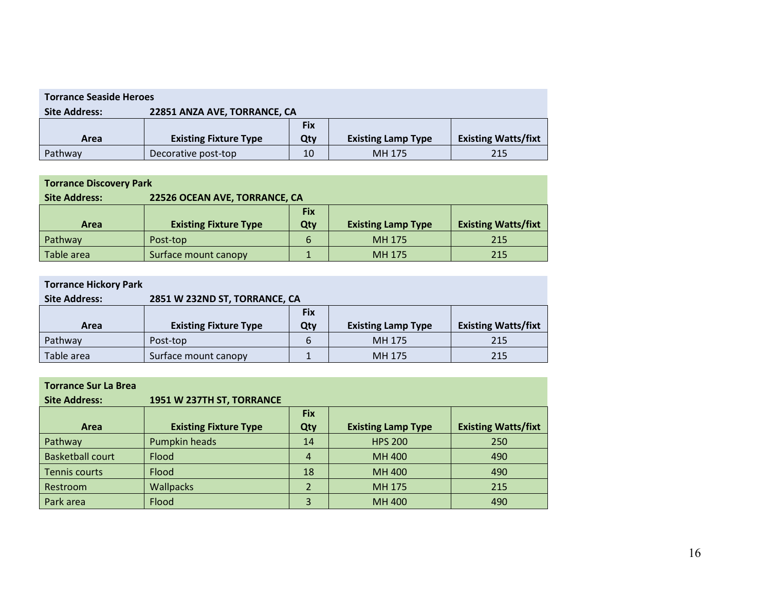| <b>Torrance Seaside Heroes</b>                       |                              |            |                           |                            |  |
|------------------------------------------------------|------------------------------|------------|---------------------------|----------------------------|--|
| 22851 ANZA AVE, TORRANCE, CA<br><b>Site Address:</b> |                              |            |                           |                            |  |
|                                                      |                              | <b>Fix</b> |                           |                            |  |
| Area                                                 | <b>Existing Fixture Type</b> | Qty        | <b>Existing Lamp Type</b> | <b>Existing Watts/fixt</b> |  |
| Pathway                                              | Decorative post-top          | 10         | MH 175                    | 215                        |  |

| <b>Torrance Discovery Park</b> |                               |     |                           |                            |  |
|--------------------------------|-------------------------------|-----|---------------------------|----------------------------|--|
| <b>Site Address:</b>           | 22526 OCEAN AVE, TORRANCE, CA |     |                           |                            |  |
|                                | <b>Fix</b>                    |     |                           |                            |  |
|                                |                               |     |                           |                            |  |
| <b>Area</b>                    | <b>Existing Fixture Type</b>  | Qty | <b>Existing Lamp Type</b> | <b>Existing Watts/fixt</b> |  |
| Pathway                        | Post-top                      | 6   | MH 175                    | 215                        |  |

| <b>Torrance Hickory Park</b> |                               |            |                           |                            |  |
|------------------------------|-------------------------------|------------|---------------------------|----------------------------|--|
| <b>Site Address:</b>         | 2851 W 232ND ST, TORRANCE, CA |            |                           |                            |  |
|                              |                               | <b>Fix</b> |                           |                            |  |
|                              |                               |            |                           |                            |  |
| Area                         | <b>Existing Fixture Type</b>  | Qty        | <b>Existing Lamp Type</b> | <b>Existing Watts/fixt</b> |  |
| Pathway                      | Post-top                      | 6          | MH 175                    | 215                        |  |

| <b>Torrance Sur La Brea</b> |                              |                |                           |                            |
|-----------------------------|------------------------------|----------------|---------------------------|----------------------------|
| <b>Site Address:</b>        | 1951 W 237TH ST, TORRANCE    |                |                           |                            |
|                             |                              | <b>Fix</b>     |                           |                            |
| Area                        | <b>Existing Fixture Type</b> | Qty            | <b>Existing Lamp Type</b> | <b>Existing Watts/fixt</b> |
| Pathway                     | Pumpkin heads                | 14             | <b>HPS 200</b>            | 250                        |
| <b>Basketball court</b>     | Flood                        | $\overline{4}$ | MH 400                    | 490                        |
| Tennis courts               | Flood                        | 18             | MH 400                    | 490                        |
| Restroom                    | <b>Wallpacks</b>             |                | MH 175                    | 215                        |
| Park area                   | Flood                        | 3              | MH 400                    | 490                        |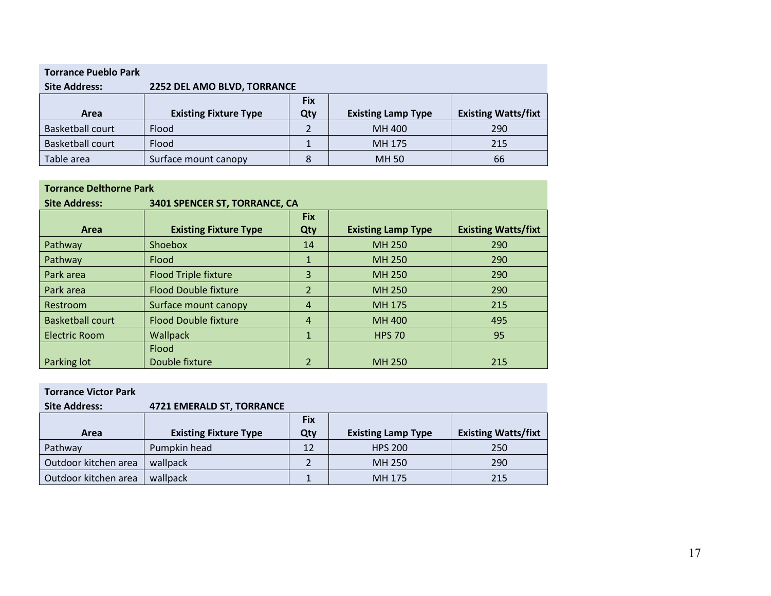| <b>Torrance Pueblo Park</b> |                              |            |                           |                            |
|-----------------------------|------------------------------|------------|---------------------------|----------------------------|
| <b>Site Address:</b>        | 2252 DEL AMO BLVD, TORRANCE  |            |                           |                            |
|                             |                              | <b>Fix</b> |                           |                            |
| Area                        | <b>Existing Fixture Type</b> | Qty        | <b>Existing Lamp Type</b> | <b>Existing Watts/fixt</b> |
| <b>Basketball court</b>     | Flood                        | 2          | MH 400                    | 290                        |
| <b>Basketball court</b>     | <b>Flood</b>                 |            | MH 175                    | 215                        |
| Table area                  | Surface mount canopy         | 8          | MH 50                     | 66                         |

#### **Torrance Delthorne Park**

| <b>Site Address:</b>    | 3401 SPENCER ST, TORRANCE, CA |                |                           |                            |  |
|-------------------------|-------------------------------|----------------|---------------------------|----------------------------|--|
|                         |                               | <b>Fix</b>     |                           |                            |  |
| Area                    | <b>Existing Fixture Type</b>  | Qty            | <b>Existing Lamp Type</b> | <b>Existing Watts/fixt</b> |  |
| Pathway                 | Shoebox                       | 14             | MH 250                    | 290                        |  |
| Pathway                 | <b>Flood</b>                  | 1              | MH 250                    | 290                        |  |
| Park area               | <b>Flood Triple fixture</b>   | 3              | <b>MH 250</b>             | 290                        |  |
| Park area               | <b>Flood Double fixture</b>   | $\overline{2}$ | MH 250                    | 290                        |  |
| <b>Restroom</b>         | Surface mount canopy          | $\overline{4}$ | MH 175                    | 215                        |  |
| <b>Basketball court</b> | <b>Flood Double fixture</b>   | $\overline{4}$ | MH 400                    | 495                        |  |
| <b>Electric Room</b>    | Wallpack                      | $\mathbf{1}$   | <b>HPS 70</b>             | 95                         |  |
|                         | Flood                         |                |                           |                            |  |
| Parking lot             | Double fixture                | 2              | MH 250                    | 215                        |  |

| <b>Torrance Victor Park</b> |                                  |            |                           |                            |
|-----------------------------|----------------------------------|------------|---------------------------|----------------------------|
| <b>Site Address:</b>        | <b>4721 EMERALD ST, TORRANCE</b> |            |                           |                            |
|                             |                                  | <b>Fix</b> |                           |                            |
| Area                        | <b>Existing Fixture Type</b>     | Qty        | <b>Existing Lamp Type</b> | <b>Existing Watts/fixt</b> |
| Pathway                     | Pumpkin head                     | 12         | <b>HPS 200</b>            | 250                        |
| Outdoor kitchen area        | wallpack                         |            | MH 250                    | 290                        |
| Outdoor kitchen area        | wallpack                         |            | MH 175                    | 215                        |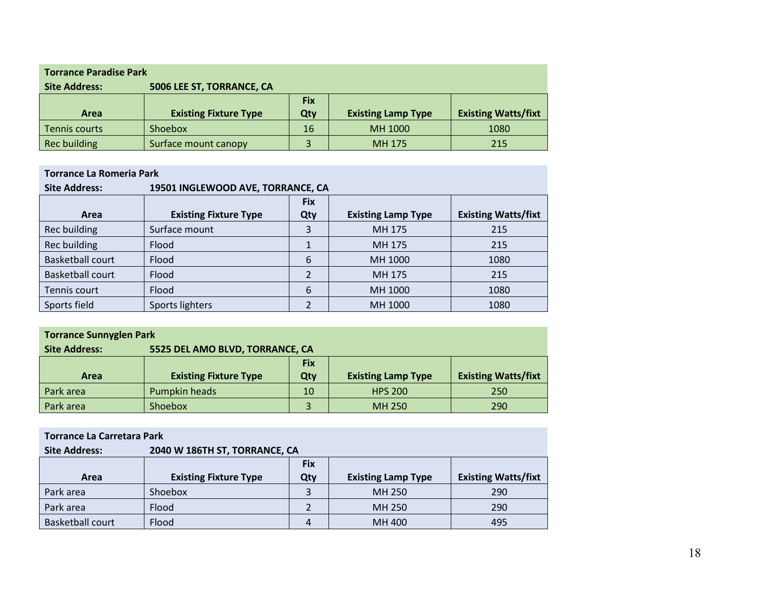| <b>Torrance Paradise Park</b> |                              |            |                           |                            |  |
|-------------------------------|------------------------------|------------|---------------------------|----------------------------|--|
| <b>Site Address:</b>          | 5006 LEE ST, TORRANCE, CA    |            |                           |                            |  |
|                               |                              | <b>Fix</b> |                           |                            |  |
|                               |                              |            |                           |                            |  |
| <b>Area</b>                   | <b>Existing Fixture Type</b> | Qty        | <b>Existing Lamp Type</b> | <b>Existing Watts/fixt</b> |  |
| Tennis courts                 | Shoebox                      | 16         | MH 1000                   | 1080                       |  |

#### **Torrance La Romeria Park**

| <b>Site Address:</b>    | 19501 INGLEWOOD AVE, TORRANCE, CA |                |                           |                            |
|-------------------------|-----------------------------------|----------------|---------------------------|----------------------------|
|                         |                                   | <b>Fix</b>     |                           |                            |
| Area                    | <b>Existing Fixture Type</b>      | Qty            | <b>Existing Lamp Type</b> | <b>Existing Watts/fixt</b> |
| Rec building            | Surface mount                     | 3              | MH 175                    | 215                        |
| Rec building            | Flood                             |                | MH 175                    | 215                        |
| <b>Basketball court</b> | Flood                             | 6              | MH 1000                   | 1080                       |
| <b>Basketball court</b> | Flood                             | $\mathfrak{p}$ | MH 175                    | 215                        |
| Tennis court            | Flood                             | 6              | MH 1000                   | 1080                       |
| Sports field            | Sports lighters                   |                | MH 1000                   | 1080                       |

| <b>Torrance Sunnyglen Park</b> |                                 |            |                           |                            |  |
|--------------------------------|---------------------------------|------------|---------------------------|----------------------------|--|
| <b>Site Address:</b>           | 5525 DEL AMO BLVD, TORRANCE, CA |            |                           |                            |  |
|                                |                                 | <b>Fix</b> |                           |                            |  |
|                                |                                 |            |                           |                            |  |
| <b>Area</b>                    | <b>Existing Fixture Type</b>    | Qty        | <b>Existing Lamp Type</b> | <b>Existing Watts/fixt</b> |  |
| Park area                      | Pumpkin heads                   | 10         | <b>HPS 200</b>            | 250                        |  |

| <b>Torrance La Carretara Park</b> |                               |            |                           |                            |  |
|-----------------------------------|-------------------------------|------------|---------------------------|----------------------------|--|
| <b>Site Address:</b>              | 2040 W 186TH ST, TORRANCE, CA |            |                           |                            |  |
|                                   |                               | <b>Fix</b> |                           |                            |  |
| Area                              | <b>Existing Fixture Type</b>  | Qty        | <b>Existing Lamp Type</b> | <b>Existing Watts/fixt</b> |  |
| Park area                         | Shoebox                       | 3          | MH 250                    | 290                        |  |
| Park area                         | Flood                         |            | MH 250                    | 290                        |  |
| <b>Basketball court</b>           | Flood                         | 4          | MH 400                    | 495                        |  |